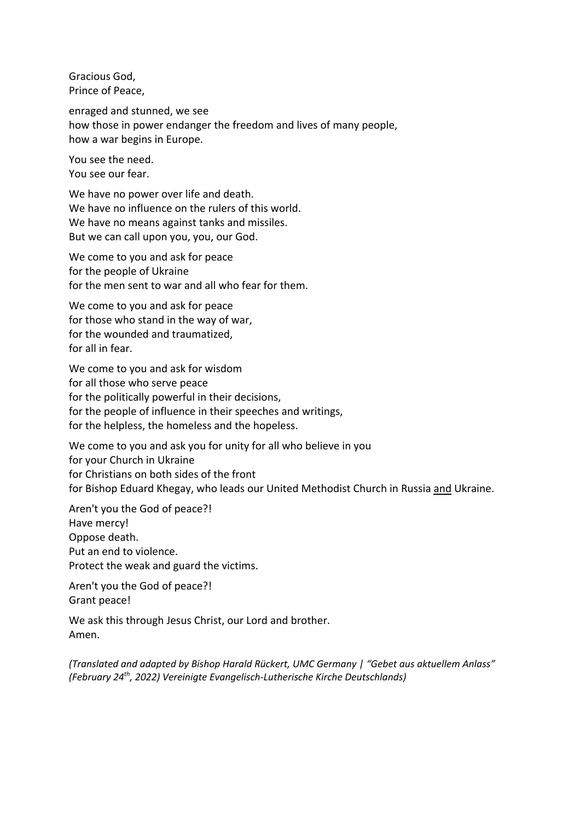Gracious God, Prince of Peace,

enraged and stunned, we see how those in power endanger the freedom and lives of many people, how a war begins in Europe.

You see the need. You see our fear.

We have no power over life and death. We have no influence on the rulers of this world. We have no means against tanks and missiles. But we can call upon you, you, our God.

We come to you and ask for peace for the people of Ukraine for the men sent to war and all who fear for them.

We come to you and ask for peace for those who stand in the way of war, for the wounded and traumatized, for all in fear.

We come to you and ask for wisdom for all those who serve peace for the politically powerful in their decisions, for the people of influence in their speeches and writings, for the helpless, the homeless and the hopeless.

We come to you and ask you for unity for all who believe in you for your Church in Ukraine for Christians on both sides of the front for Bishop Eduard Khegay, who leads our United Methodist Church in Russia and Ukraine.

Aren't you the God of peace?! Have mercy! Oppose death. Put an end to violence. Protect the weak and guard the victims.

Aren't you the God of peace?! Grant peace!

We ask this through Jesus Christ, our Lord and brother. Amen.

*(Translated and adapted by Bishop Harald Rückert, UMC Germany | "Gebet aus aktuellem Anlass" (February 24th, 2022) Vereinigte Evangelisch-Lutherische Kirche Deutschlands)*